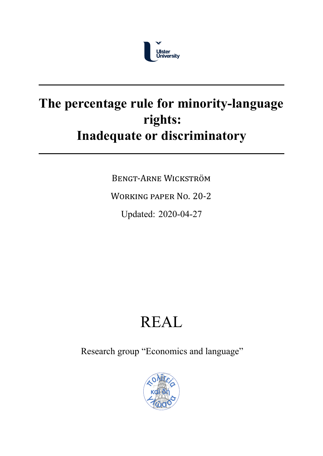

## The percentage rule for minority-language **rights: Inadequate or discriminatory**

BENGT‐ARNE WICKSTRÖM

WORKING PAPER NO. 20‐2

Updated: 2020-04-27

# REAL

Research group "Economics and language"

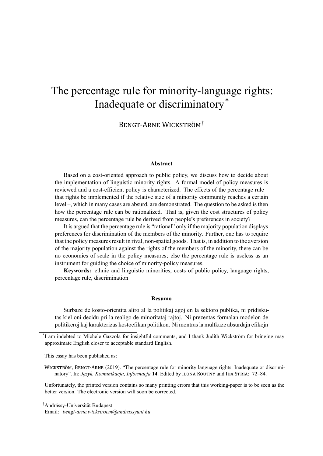### The percentage rule for minority-language rights: Inadequate or discriminatory\*

BENGT‐ARNE WICKSTRÖM†

#### **Abstract**

Based on a cost-oriented approach to public policy, we discuss how to decide about the implementation of linguistic minority rights. A formal model of policy measures is reviewed and a costefficient policy is characterized. The effects of the percentage rule – that rights be implemented if the relative size of a minority community reaches a certain level –, which in many cases are absurd, are demonstrated. The question to be asked is then how the percentage rule can be rationalized. That is, given the cost structures of policy measures, can the percentage rule be derived from people's preferences in society?

It is argued that the percentage rule is "rational" only if the majority population displays preferences for discrimination of the members of the minority. Further, one has to require that the policy measures result in rival, nonspatial goods. That is, in addition to the aversion of the majority population against the rights of the members of the minority, there can be no economies of scale in the policy measures; else the percentage rule is useless as an instrument for guiding the choice of minority-policy measures.

**Keywords:** ethnic and linguistic minorities, costs of public policy, language rights, percentage rule, discrimination

#### **Resumo**

Surbaze de kosto-orientita aliro al la politikaj agoj en la sektoro publika, ni pridiskutas kiel oni decidu pri la realigo de minoritataj rajtoj. Ni prezentas formalan modelon de politikeroj kaj karakterizas kostoefikan politikon. Ni montras la multkaze absurdajn efikojn

\* I am indebted to Michele Gazzola for insightful comments, and I thank Judith Wickström for bringing may approximate English closer to acceptable standard English.

This essay has been published as:

WICKSTRÖM, BENGT‐ARNE (2019). "The percentage rule for minority language rights: Inadequate or discriminatory". In: *Język, Komunikacja, Informacja* **14**. Edited by ILONA KOUTNY and IDA STRIA: 72–84.

Unfortunately, the printed version contains so many printing errors that this working-paper is to be seen as the better version. The electronic version will soon be corrected.

<sup>†</sup>Andrássy-Universität Budapest Email: *bengt-arne.wickstroem@andrassyuni.hu*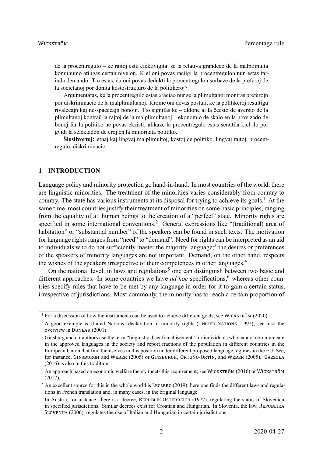de la procentregulo – ke rajtoj estu efektivigitaj se la relativa grandeco de la malplimulta komunumo atingas certan nivelon. Kiel oni povas raciigi la procentregulon nun estas farinda demando. Tio estas, ĉu oni povas dedukti la procentregulon surbaze de la preferoj de la societanoj por donita kostostrukturo de la politikeroj?

Argumentatas, ke la procentregulo estas «racia» nur se la plimultanoj montras preferojn por diskriminacio de la malplimultanoj. Krome oni devas postuli, ke la politikeroj resultigu rivalecajn kaj nespacecajn bonojn. Tio signifas ke – aldone al la ĉeesto de aversio de la plimultanoj kontraŭ la rajtoj de la malplimultanoj – ekonomio de skalo en la provizado de bonoj far la politiko ne povas ekzisti; alikaze la procentregulo estas senutila kiel ilo por gvidi la selektadon de eroj en la minoritata politiko.

**Ŝlosilvortoj:** etnaj kaj lingvaj malplimultoj, kostoj de politiko, lingvaj rajtoj, procentregulo, diskriminacio

#### **1 INTRODUCTION**

Language policy and minority protection go hand-in-hand. In most countries of the world, there are linguistic minorities. The treatment of the minorities varies considerably from country to country. The state has various instruments at its disposal for trying to achieve its goals.<sup>1</sup> At the same time, most countries justify their treatment of minorities on some basic principles, ranging from the equality of all human beings to the creation of a "perfect" state. Minority rights are specified in some international conventions.<sup>2</sup> General expressions like "(traditional) area of habitation" or "substantial number" of the speakers can be found in such texts. The motivation for language rights ranges from "need" to "demand". Need for rights can be interpreted as an aid to individuals who do not sufficiently master the majority language;<sup>3</sup> the desires or preferences of the speakers of minority languages are not important. Demand, on the other hand, respects the wishes of the speakers irrespective of their competences in other languages.<sup>4</sup>

On the national level, in laws and regulations<sup>5</sup> one can distinguish between two basic and different approaches. In some countries we have *ad hoc* specifications,<sup>6</sup> whereas other countries specify rules that have to be met by any language in order for it to gain a certain status, irrespective of jurisdictions. Most commonly, the minority has to reach a certain proportion of

<sup>&</sup>lt;sup>1</sup> For a discussion of how the instruments can be used to achieve different goals, see WICKSTRÖM (2020).

<sup>&</sup>lt;sup>2</sup> A good example is United Nations' declaration of minority rights (UNITED NATIONS, 1992); see also the overview in DUNBAR (2001).

<sup>&</sup>lt;sup>3</sup> Ginsburg and co-authors use the term "linguistic disenfranchisement" for individuals who cannot communicate in the approved languages in the society and report fractions of the population in different countries in the European Union that find themselves in this position under different proposed language regimes in the EU. See, for instance, GINSBURGH and WEBER (2005) or GINSBURGH, ORTUÑO‐ORTÍN, and WEBER (2005). GAZZOLA (2016) is also in this tradition.

<sup>4</sup> An approach based on economic welfare theory meets this requirement; see WICKSTRÖM (2016) or WICKSTRÖM (2017).

 $<sup>5</sup>$  An excellent source for this in the whole world is LECLERC (2019); here one finds the different laws and regula-</sup> tions in French translation and, in many cases, in the original language.

<sup>&</sup>lt;sup>6</sup> In Austria, for instance, there is a decree, REPUBLIK ÖSTERREICH (1977), regulating the status of Slovenian in specified jurisdictions. Similar decrees exist for Croatian and Hungarian. In Slovenia, the law, REPUBLIKA SLOVENIJA (2006), regulates the use of Italian and Hungarian in certain jurisdictions.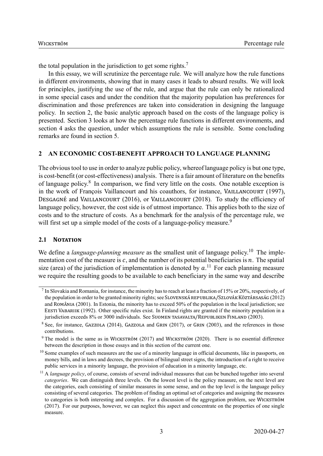the total population in the jurisdiction to get some rights.<sup>7</sup>

In this essay, we will scrutinize the percentage rule. We will analyze how the rule functions in different environments, showing that in many cases it leads to absurd results. We will look for principles, justifying the use of the rule, and argue that the rule can only be rationalized in some special cases and under the condition that the majority population has preferences for discrimination and those preferences are taken into consideration in designing the language policy. In section 2, the basic analytic approach based on the costs of the language policy is presented. Section 3 looks at how the percentage rule functions in different environments, and section 4 asks the question, under which assumptions the rule is sensible. Some concluding remarks are found in section 5.

#### **2 AN ECONOMIC COST-BENEFIT APPROACH TO LANGUAGE PLANNING**

The obvious tool to use in order to analyze public policy, whereof language policy is but one type, is cost-benefit (or cost-effectiveness) analysis. There is a fair amount of literature on the benefits of language policy.<sup>8</sup> In comparison, we find very little on the costs. One notable exception is in the work of François Vaillancourt and his coauthors, for instance, VAILLANCOURT (1997), DESGAGNÉ and VAILLANCOURT (2016), or VAILLANCOURT (2018). To study the efficiency of language policy, however, the cost side is of utmost importance. This applies both to the size of costs and to the structure of costs. As a benchmark for the analysis of the percentage rule, we will first set up a simple model of the costs of a language-policy measure.<sup>9</sup>

#### **2.1 NOTATION**

We define a *language-planning measure* as the smallest unit of language policy.<sup>10</sup> The implementation cost of the measure is  $c$ , and the number of its potential beneficiaries is  $n$ . The spatial size (area) of the jurisdiction of implementation is denoted by  $a$ .<sup>11</sup> For each planning measure we require the resulting goods to be available to each beneficiary in the same way and describe

 $^7$  In Slovakia and Romania, for instance, the minority has to reach at least a fraction of 15% or 20%, respectively, of the population in order to be granted minority rights; see SLOVENSKÁ REPUBLIKA/SZLOVÁK KÖZTÁRSASÁG (2012) and ROMÂNIA (2001). In Estonia, the minority has to exceed 50% of the population in the local jurisdiction; see EESTI VABARIIK (1992). Other specific rules exist. In Finland rights are granted if the minority population in a jurisdiction exceeds 8% or 3000 individuals. See SUOMEN TASAVALTA/REPUBLIKEN FINLAND (2003).

<sup>&</sup>lt;sup>8</sup> See, for instance, GAZZOLA (2014), GAZZOLA and GRIN (2017), or GRIN (2003), and the references in those contributions.

<sup>&</sup>lt;sup>9</sup> The model is the same as in WICKSTRÖM (2017) and WICKSTRÖM (2020). There is no essential difference between the description in those essays and in this section of the current one.

<sup>&</sup>lt;sup>10</sup> Some examples of such measures are the use of a minority language in official documents, like in passports, on money bills, and in laws and decrees, the provision of bilingual street signs, the introduction of a right to receive public services in a minority language, the provision of education in a minority language, etc.

<sup>&</sup>lt;sup>11</sup> A *language policy*, of course, consists of several individual measures that can be bunched together into several *categories*. We can distinguish three levels. On the lowest level is the policy measure, on the next level are the categories, each consisting of similar measures in some sense, and on the top level is the language policy consisting of several categories. The problem of finding an optimal set of categories and assigning the measures to categories is both interesting and complex. For a discussion of the aggregation problem, see WICKSTRÖM (2017). For our purposes, however, we can neglect this aspect and concentrate on the properties of one single measure.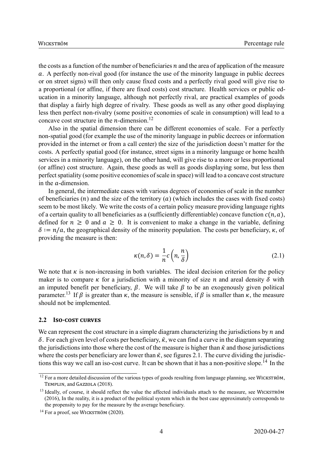the costs as a function of the number of beneficiaries  $n$  and the area of application of the measure  $\alpha$ . A perfectly non-rival good (for instance the use of the minority language in public decrees or on street signs) will then only cause fixed costs and a perfectly rival good will give rise to a proportional (or affine, if there are fixed costs) cost structure. Health services or public education in a minority language, although not perfectly rival, are practical examples of goods that display a fairly high degree of rivalry. These goods as well as any other good displaying less then perfect non-rivalry (some positive economies of scale in consumption) will lead to a concave cost structure in the *n*-dimension.<sup>12</sup>

Also in the spatial dimension there can be different economies of scale. For a perfectly nonspatial good (for example the use of the minority language in public decrees or information provided in the internet or from a call center) the size of the jurisdiction doesn't matter for the costs. A perfectly spatial good (for instance, street signs in a minority language or home health services in a minority language), on the other hand, will give rise to a more or less proportional (or affine) cost structure. Again, these goods as well as goods displaying some, but less then perfect spatiality (some positive economies of scale in space) will lead to a concave cost structure in the  $a$ -dimension.

In general, the intermediate cases with various degrees of economies of scale in the number of beneficiaries (*n*) and the size of the territory (*a*) (which includes the cases with fixed costs) seem to be most likely. We write the costs of a certain policy measure providing language rights of a certain quality to all beneficiaries as a (sufficiently differentiable) concave function  $c(n, a)$ , defined for  $n \geq 0$  and  $a \geq 0$ . It is convenient to make a change in the variable, defining  $\delta := n/a$ , the geographical density of the minority population. The costs per beneficiary,  $\kappa$ , of providing the measure is then:

$$
\kappa(n,\delta) = \frac{1}{n}c\left(n,\frac{n}{\delta}\right) \tag{2.1}
$$

We note that  $\kappa$  is non-increasing in both variables. The ideal decision criterion for the policy maker is to compare  $\kappa$  for a jurisdiction with a minority of size  $n$  and areal density  $\delta$  with an imputed benefit per beneficiary,  $\beta$ . We will take  $\beta$  to be an exogenously given political parameter.<sup>13</sup> If  $\beta$  is greater than  $\kappa$ , the measure is sensible, if  $\beta$  is smaller than  $\kappa$ , the measure should not be implemented.

#### **2.2 ISO‐COST CURVES**

We can represent the cost structure in a simple diagram characterizing the jurisdictions by  $n$  and  $\delta$ . For each given level of costs per beneficiary,  $\bar{\kappa}$ , we can find a curve in the diagram separating the jurisdictions into those where the cost of the measure is higher than  $\bar{\kappa}$  and those jurisdictions where the costs per beneficiary are lower than  $\bar{\kappa}$ , see figures 2.1. The curve dividing the jurisdictions this way we call an iso-cost curve. It can be shown that it has a non-positive slope.<sup>14</sup> In the

 $12$  For a more detailed discussion of the various types of goods resulting from language planning, see WICKSTRÖM, TEMPLIN, and GAZZOLA (2018).

<sup>&</sup>lt;sup>13</sup> Ideally, of course, it should reflect the value the affected individuals attach to the measure, see WICKSTRÖM (2016), In the reality, it is a product of the political system which in the best case approximately corresponds to the propensity to pay for the measure by the average beneficiary.

 $14$  For a proof, see WICKSTRÖM (2020).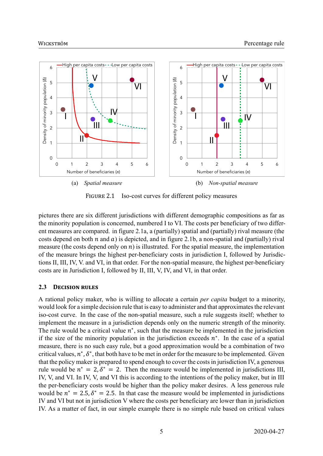

FIGURE 2.1 Iso-cost curves for different policy measures

pictures there are six different jurisdictions with different demographic compositions as far as the minority population is concerned, numbered I to VI. The costs per beneficiary of two different measures are compared. in figure 2.1a, a (partially) spatial and (partially) rival measure (the costs depend on both  $n$  and  $a$ ) is depicted, and in figure 2.1b, a non-spatial and (partially) rival measure (the costs depend only on  $n$ ) is illustrated. For the spatial measure, the implementation of the measure brings the highest per-beneficiary costs in jurisdiction I, followed by Jurisdictions II, III, IV, V. and VI, in that order. For the non-spatial measure, the highest per-beneficiary costs are in Jurisdiction I, followed by II, III, V, IV, and VI, in that order.

#### **2.3 DECISION RULES**

A rational policy maker, who is willing to allocate a certain *per capita* budget to a minority, would look for a simple decision rule that is easy to administer and that approximates the relevant iso-cost curve. In the case of the non-spatial measure, such a rule suggests itself; whether to implement the measure in a jurisdiction depends only on the numeric strength of the minority. The rule would be a critical value  $n^*$ , such that the measure be implemented in the jurisdiction if the size of the minority population in the jurisdiction exceeds  $n^*$ . In the case of a spatial measure, there is no such easy rule, but a good approximation would be a combination of two critical values,  $n^*$ ,  $\delta^*$ , that both have to be met in order for the measure to be implemented. Given that the policy maker is prepared to spend enough to cover the costs in jurisdiction IV, a generous rule would be  $n^* = 2$ ,  $\delta^* = 2$ . Then the measure would be implemented in jurisdictions III, IV, V, and VI. In IV, V, and VI this is according to the intentions of the policy maker, but in III the per-beneficiary costs would be higher than the policy maker desires. A less generous rule would be  $n^* = 2.5$ ,  $\delta^* = 2.5$ . In that case the measure would be implemented in jurisdictions IV and VI but not in jurisdiction V where the costs per beneficiary are lower than in jurisdiction IV. As a matter of fact, in our simple example there is no simple rule based on critical values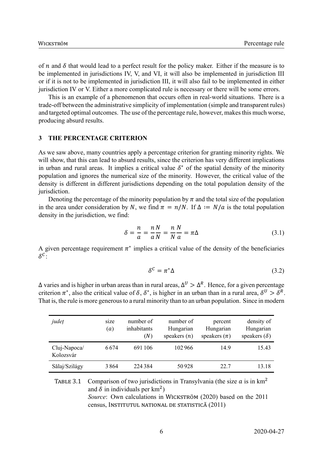of  $n$  and  $\delta$  that would lead to a perfect result for the policy maker. Either if the measure is to be implemented in jurisdictions IV, V, and VI, it will also be implemented in jurisdiction III or if it is not to be implemented in jurisdiction III, it will also fail to be implemented in either jurisdiction IV or V. Either a more complicated rule is necessary or there will be some errors.

This is an example of a phenomenon that occurs often in real-world situations. There is a trade-off between the administrative simplicity of implementation (simple and transparent rules) and targeted optimal outcomes. The use of the percentage rule, however, makes this much worse, producing absurd results.

#### **3 THE PERCENTAGE CRITERION**

As we saw above, many countries apply a percentage criterion for granting minority rights. We will show, that this can lead to absurd results, since the criterion has very different implications in urban and rural areas. It implies a critical value  $\delta^*$  of the spatial density of the minority population and ignores the numerical size of the minority. However, the critical value of the density is different in different jurisdictions depending on the total population density of the jurisdiction.

Denoting the percentage of the minority population by  $\pi$  and the total size of the population in the area under consideration by N, we find  $\pi = n/N$ . If  $\Delta := N/a$  is the total population density in the jurisdiction, we find:

$$
\delta = \frac{n}{a} = \frac{n}{a} \frac{N}{N} = \frac{n}{N} \frac{N}{a} = \pi \Delta \tag{3.1}
$$

A given percentage requirement  $\pi^*$  implies a critical value of the density of the beneficiaries  $\delta^{\mathcal{C}}$ :

$$
\delta^{\mathcal{C}} = \pi^* \Delta \tag{3.2}
$$

Δ varies and is higher in urban areas than in rural areas,  $\Delta^U > \Delta^R$ . Hence, for a given percentage criterion  $\pi^*$ , also the critical value of  $\delta$ ,  $\delta^*$ , is higher in an urban than in a rural area,  $\delta^U > \delta^R$ . That is, the rule is more generous to a rural minority than to an urban population. Since in modern

| județ                     | size<br>(a) | number of<br>inhabitants<br>(N) | number of<br>Hungarian<br>speakers $(n)$ | percent<br>Hungarian<br>speakers $(\pi)$ | density of<br>Hungarian<br>speakers $(\delta)$ |
|---------------------------|-------------|---------------------------------|------------------------------------------|------------------------------------------|------------------------------------------------|
| Cluj-Napoca/<br>Kolozsvár | 6674        | 691 106                         | 102966                                   | 14.9                                     | 15.43                                          |
| Sălaj/Szilágy             | 3864        | 224 384                         | 50928                                    | 22.7                                     | 13.18                                          |

TABLE 3.1 Comparison of two jurisdictions in Transylvania (the size  $a$  is in km<sup>2</sup> and  $\delta$  in individuals per km<sup>2</sup>) *Source*: Own calculations in WICKSTRÖM (2020) based on the 2011 census, INSTITUTUL NATIONAL DE STATISTICĂ (2011)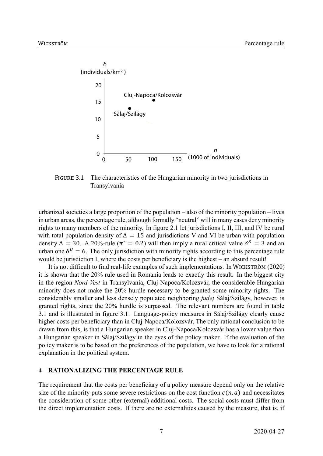

FIGURE 3.1 The characteristics of the Hungarian minority in two jurisdictions in Transylvania

urbanized societies a large proportion of the population – also of the minority population – lives in urban areas, the percentage rule, although formally "neutral" will in many cases deny minority rights to many members of the minority. In figure 2.1 let jurisdictions I, II, III, and IV be rural with total population density of  $\Delta = 15$  and jurisdictions V and VI be urban with population density  $\Delta = 30$ . A 20%-rule ( $\pi^* = 0.2$ ) will then imply a rural critical value  $\delta^R = 3$  and an urban one  $\delta^{U} = 6$ . The only jurisdiction with minority rights according to this percentage rule would be jurisdiction I, where the costs per beneficiary is the highest – an absurd result!

It is not difficult to find real-life examples of such implementations. In WICKSTRÖM (2020) it is shown that the 20% rule used in Romania leads to exactly this result. In the biggest city in the region *Nord-Vest* in Transylvania, Cluj-Napoca/Kolozsvár, the considerable Hungarian minority does not make the 20% hurdle necessary to be granted some minority rights. The considerably smaller and less densely populated neighboring *județ* Sălaj/Szilágy, however, is granted rights, since the 20% hurdle is surpassed. The relevant numbers are found in table 3.1 and is illustrated in figure 3.1. Language-policy measures in Sălaj/Szilágy clearly cause higher costs per beneficiary than in Cluj-Napoca/Kolozsvár, The only rational conclusion to be drawn from this, is that a Hungarian speaker in Cluj-Napoca/Kolozsvár has a lower value than a Hungarian speaker in Sălaj/Szilágy in the eyes of the policy maker. If the evaluation of the policy maker is to be based on the preferences of the population, we have to look for a rational explanation in the political system.

#### **4 RATIONALIZING THE PERCENTAGE RULE**

The requirement that the costs per beneficiary of a policy measure depend only on the relative size of the minority puts some severe restrictions on the cost function  $c(n, a)$  and necessitates the consideration of some other (external) additional costs. The social costs must differ from the direct implementation costs. If there are no externalities caused by the measure, that is, if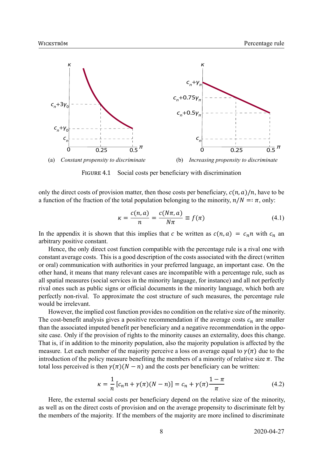

FIGURE 4.1 Social costs per beneficiary with discrimination

only the direct costs of provision matter, then those costs per beneficiary,  $c(n, a)/n$ , have to be a function of the fraction of the total population belonging to the minority,  $n/N =: \pi$ , only:

$$
\kappa = \frac{c(n, a)}{n} = \frac{c(N\pi, a)}{N\pi} \equiv f(\pi) \tag{4.1}
$$

In the appendix it is shown that this implies that c be written as  $c(n, a) = c_n n$  with  $c_n$  and arbitrary positive constant.

Hence, the only direct cost function compatible with the percentage rule is a rival one with constant average costs. This is a good description of the costs associated with the direct (written or oral) communication with authorities in your preferred language, an important case. On the other hand, it means that many relevant cases are incompatible with a percentage rule, such as all spatial measures (social services in the minority language, for instance) and all not perfectly rival ones such as public signs or official documents in the minority language, which both are perfectly non-rival. To approximate the cost structure of such measures, the percentage rule would be irrelevant.

However, the implied cost function provides no condition on the relative size of the minority. The cost-benefit analysis gives a positive recommendation if the average costs  $c_n$  are smaller than the associated imputed benefit per beneficiary and a negative recommendation in the opposite case. Only if the provision of rights to the minority causes an externality, does this change. That is, if in addition to the minority population, also the majority population is affected by the measure. Let each member of the majority perceive a loss on average equal to  $\gamma(\pi)$  due to the introduction of the policy measure benefiting the members of a minority of relative size  $\pi$ . The total loss perceived is then  $\gamma(\pi)(N - n)$  and the costs per beneficiary can be written:

$$
\kappa = \frac{1}{n} \left[ c_n n + \gamma(\pi)(N - n) \right] = c_n + \gamma(\pi) \frac{1 - \pi}{\pi}
$$
 (4.2)

Here, the external social costs per beneficiary depend on the relative size of the minority, as well as on the direct costs of provision and on the average propensity to discriminate felt by the members of the majority. If the members of the majority are more inclined to discriminate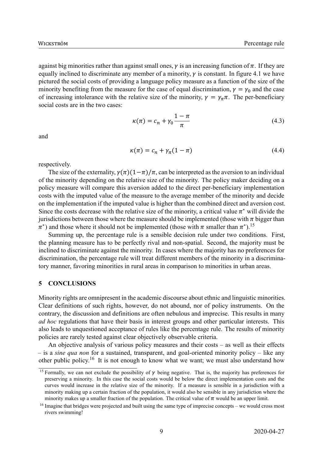against big minorities rather than against small ones,  $\gamma$  is an increasing function of  $\pi$ . If they are equally inclined to discriminate any member of a minority,  $\gamma$  is constant. In figure 4.1 we have pictured the social costs of providing a language policy measure as a function of the size of the minority benefiting from the measure for the case of equal discrimination,  $\gamma = \gamma_0$  and the case of increasing intolerance with the relative size of the minority,  $\gamma = \gamma_{\pi} \pi$ . The per-beneficiary social costs are in the two cases:

$$
\kappa(\pi) = c_n + \gamma_0 \frac{1 - \pi}{\pi} \tag{4.3}
$$

and

$$
\kappa(\pi) = c_n + \gamma_\pi (1 - \pi) \tag{4.4}
$$

respectively.

The size of the externality,  $\gamma(\pi)(1-\pi)/\pi$ , can be interpreted as the aversion to an individual of the minority depending on the relative size of the minority. The policy maker deciding on a policy measure will compare this aversion added to the direct per-beneficiary implementation costs with the imputed value of the measure to the average member of the minority and decide on the implementation if the imputed value is higher than the combined direct and aversion cost. Since the costs decrease with the relative size of the minority, a critical value  $\pi^*$  will divide the jurisdictions between those where the measure should be implemented (those with  $\pi$  bigger than  $\pi^*$ ) and those where it should not be implemented (those with  $\pi$  smaller than  $\pi^*$ ).<sup>15</sup>

Summing up, the percentage rule is a sensible decision rule under two conditions. First, the planning measure has to be perfectly rival and nonspatial. Second, the majority must be inclined to discriminate against the minority. In cases where the majority has no preferences for discrimination, the percentage rule will treat different members of the minority in a discriminatory manner, favoring minorities in rural areas in comparison to minorities in urban areas.

#### **5 CONCLUSIONS**

Minority rights are omnipresent in the academic discourse about ethnic and linguistic minorities. Clear definitions of such rights, however, do not abound, nor of policy instruments. On the contrary, the discussion and definitions are often nebulous and imprecise. This results in many *ad hoc* regulations that have their basis in interest groups and other particular interests. This also leads to unquestioned acceptance of rules like the percentage rule. The results of minority policies are rarely tested against clear objectively observable criteria.

An objective analysis of various policy measures and their costs – as well as their effects – is a *sine qua non* for a sustained, transparent, and goaloriented minority policy – like any other public policy.<sup>16</sup> It is not enough to know what we want; we must also understand how

<sup>&</sup>lt;sup>15</sup> Formally, we can not exclude the possibility of  $\gamma$  being negative. That is, the majority has preferences for preserving a minority. In this case the social costs would be below the direct implementation costs and the curves would increase in the relative size of the minority. If a measure is sensible in a jurisdiction with a minority making up a certain fraction of the population, it would also be sensible in any jurisdiction where the minority makes up a smaller fraction of the population. The critical value of  $\pi$  would be an upper limit.

<sup>&</sup>lt;sup>16</sup> Imagine that bridges were projected and built using the same type of imprecise concepts – we would cross most rivers swimming!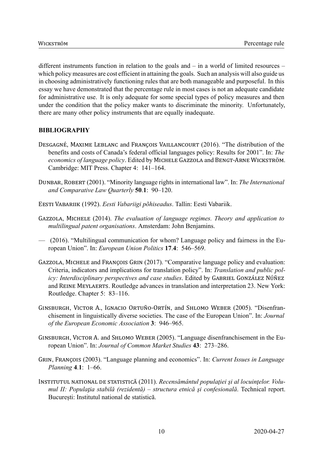different instruments function in relation to the goals and – in a world of limited resources – which policy measures are cost efficient in attaining the goals. Such an analysis will also guide us in choosing administratively functioning rules that are both manageable and purposeful. In this essay we have demonstrated that the percentage rule in most cases is not an adequate candidate for administrative use. It is only adequate for some special types of policy measures and then under the condition that the policy maker wants to discriminate the minority. Unfortunately, there are many other policy instruments that are equally inadequate.

#### **BIBLIOGRAPHY**

- DESGAGNÉ, MAXIME LEBLANC and FRANÇOIS VAILLANCOURT (2016). "The distribution of the benefits and costs of Canada's federal official languages policy: Results for 2001". In: *The economics of language policy*. Edited by MICHELE GAZZOLA and BENGT‐ARNE WICKSTRÖM. Cambridge: MIT Press. Chapter 4: 141–164.
- DUNBAR, ROBERT (2001). "Minority language rights in international law". In: *The International and Comparative Law Quarterly* **50**.**1**: 90–120.
- EESTI VABARIIK (1992). *Eesti Vabariigi põhiseadus*. Tallin: Eesti Vabariik.
- GAZZOLA, MICHELE (2014). *The evaluation of language regimes. Theory and application to multilingual patent organisations*. Amsterdam: John Benjamins.
- (2016). "Multilingual communication for whom? Language policy and fairness in the European Union". In: *European Union Politics* **17**.**4**: 546–569.
- GAZZOLA, MICHELE and FRANÇOIS GRIN (2017). "Comparative language policy and evaluation: Criteria, indicators and implications for translation policy". In: *Translation and public policy: Interdisciplinary perspectives and case studies*. Edited by GABRIEL GONZÁLEZ NÚÑEZ and REINE MEYLAERTS. Routledge advances in translation and interpretation 23. New York: Routledge. Chapter 5: 83–116.
- GINSBURGH, VICTOR A., IGNACIO ORTUÑO‐ORTÍN, and SHLOMO WEBER (2005). "Disenfranchisement in linguistically diverse societies. The case of the European Union". In: *Journal of the European Economic Association* **3**: 946–965.
- GINSBURGH, VICTOR A. and SHLOMO WEBER (2005). "Language disenfranchisement in the European Union". In: *Journal of Common Market Studies* **43**: 273–286.
- GRIN, FRANÇOIS (2003). "Language planning and economics". In: *Current Issues in Language Planning* **4**.**1**: 1–66.
- INSTITUTUL NATIONAL DE STATISTICĂ (2011). *Recensământul populaţiei şi al locuinţelor. Volumul II: Populaƫia stabilă (rezidentă) – structura etnică şi confesională*. Technical report. București: Institutul national de statistică.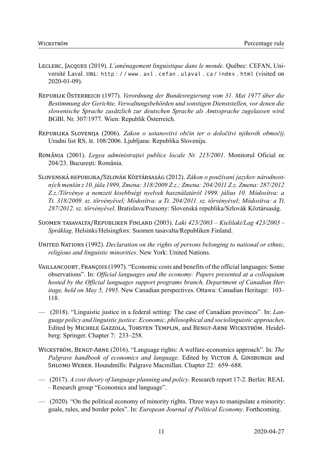- LECLERC, JACQUES (2019). *L'aménagement linguistique dans le monde*. Québec: CEFAN, Université Laval. URL: http : / / www . axl . cefan . ulaval . ca / index . html (visited on  $2020 - 01 - 09$ ).
- REPUBLIK ÖSTERREICH (1977). *Verordnung der Bundesregierung vom 31. Mai 1977 über die Bestimmung der Gerichte, Verwaltungsbehörden und sonstigen Dienststellen, vor denen die slowenische Sprache zusätzlich zur deutschen Sprache als Amtssprache zugelassen wird*. BGBl. Nr. 307/1977. Wien: Republik Österreich.
- REPUBLIKA SLOVENIJA (2006). *Zakon o ustanovitvi občin ter o določitvi njihovih območij*. Uradni list RS, št. 108/2006. Ljubljana: Republika Slovenija.
- ROMÂNIA (2001). *Legea administraţiei publice locale Nr. 215/2001*. Monitorul Oficial nr. 204/23. București: România.
- SLOVENSKÁ REPUBLIKA/SZLOVÁK KÖZTÁRSASÁG (2012). *Zákon o používaní jazykov národnostných menšín z 10. júla 1999, Zmena: 318/2009 Z.z.; Zmena: 204/2011 Z.z. Zmena: 287/2012 Z.z./Törvénye a nemzeti kisebbségi nyelvek használatáról 1999. július 10. Módosítva: a Tt. 318/2009. sz. törvényével; Módosítva: a Tt. 204/2011. sz. törvényével; Módosítva: a Tt. 287/2012. sz. törvényével*. Bratislava/Pozsony: Slovenská republika/Szlovák Köztársaság.
- SUOMEN TASAVALTA/REPUBLIKEN FINLAND (2003). *Laki 423/2003 Kielilaki/Lag 423/2003 – Språklag*. Helsinki/Helsingfors: Suomen tasavalta/Republiken Finland.
- UNITED NATIONS (1992). *Declaration on the rights of persons belonging to national or ethnic, religious and linguistic minorities*. New York: United Nations.
- VAILLANCOURT, FRANÇOIS (1997). "Economic costs and benefits of the official languages: Some observations". In: *Official languages and the economy: Papers presented at a colloquium hosted by the Official languages support programs branch, Department of Canadian Heritage, held on May 5, 1995*. New Canadian perspectives. Ottawa: Canadian Heritage: 103– 118.
- (2018). "Linguistic justice in a federal setting: The case of Canadian provinces". In: *Language policy and linguistic justice: Economic, philosophical and sociolinguistic approaches*. Edited by MICHELE GAZZOLA, TORSTEN TEMPLIN, and BENGT‐ARNE WICKSTRÖM. Heidelberg: Springer. Chapter 7: 233–258.
- WICKSTRÖM, BENGT-ARNE (2016). "Language rights: A welfare-economics approach". In: *The Palgrave handbook of economics and language*. Edited by VICTOR A. GINSBURGH and SHLOMO WEBER. Houndmills: Palgrave Macmillan. Chapter 22: 659–688.
- (2017). *A cost theory of language planning and policy*. Research report 172. Berlin: REAL – Research group "Economics and language".
- (2020). "On the political economy of minority rights. Three ways to manipulate a minority: goals, rules, and border poles". In: *European Journal of Political Economy*. Forthcoming.